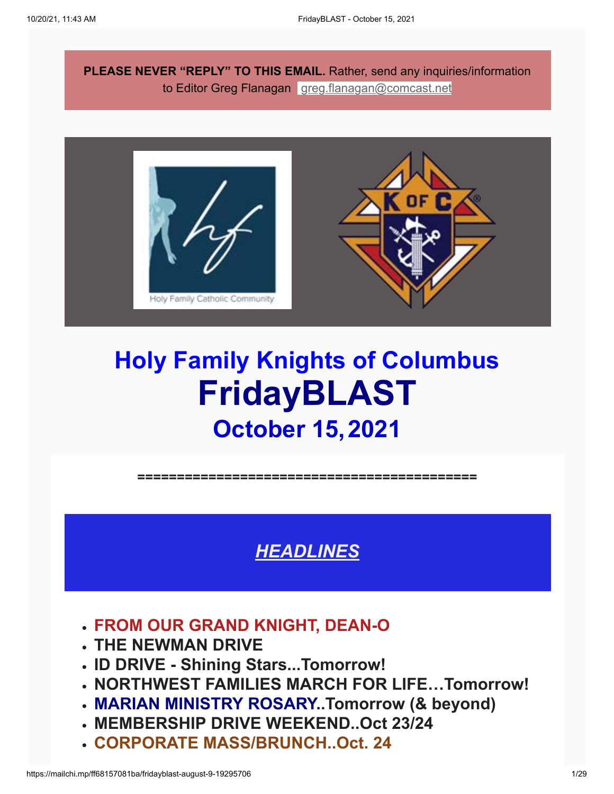**PLEASE NEVER "REPLY" TO THIS EMAIL.** Rather, send any inquiries/information to Editor Greg Flanagan [greg.flanagan@comcast.net](mailto:greg.flanagan@comcast.net)



# **Holy Family Knights of Columbus FridayBLAST October 15,2021**

**===========================================**

*HEADLINES*

- **FROM OUR GRAND KNIGHT, DEAN-O**
- **THE NEWMAN DRIVE**
- **ID DRIVE Shining Stars...Tomorrow!**
- **NORTHWEST FAMILIES MARCH FOR LIFE…Tomorrow!**
- **MARIAN MINISTRY ROSARY..Tomorrow (& beyond)**
- **MEMBERSHIP DRIVE WEEKEND..Oct 23/24**
- **CORPORATE MASS/BRUNCH..Oct. 24**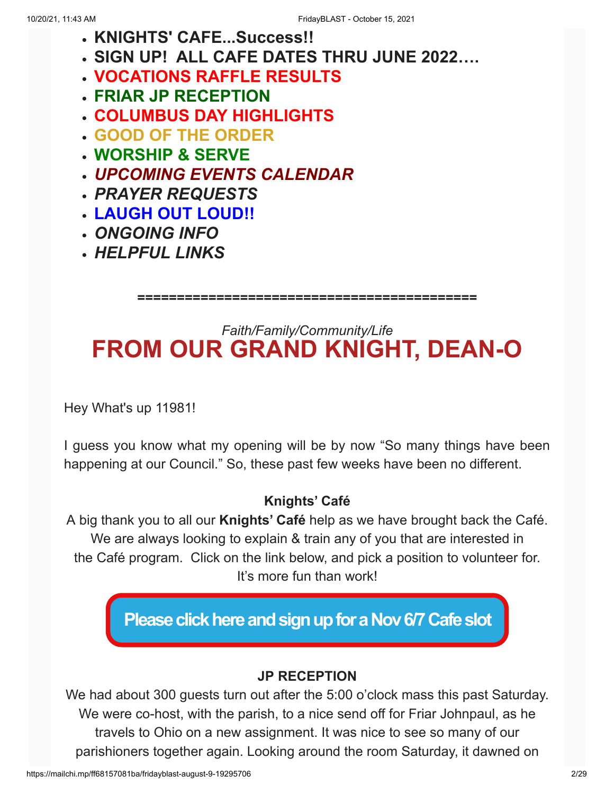- **KNIGHTS' CAFE...Success!!**
- **SIGN UP! ALL CAFE DATES THRU JUNE 2022….**
- **VOCATIONS RAFFLE RESULTS**
- **FRIAR JP RECEPTION**
- **COLUMBUS DAY HIGHLIGHTS**
- **GOOD OF THE ORDER**
- **WORSHIP & SERVE**
- *UPCOMING EVENTS CALENDAR*
- *PRAYER REQUESTS*
- **LAUGH OUT LOUD!!**
- *ONGOING INFO*
- *HELPFUL LINKS*

**===========================================**

## *Faith/Family/Community/Life* **FROM OUR GRAND KNIGHT, DEAN-O**

Hey What's up 11981!

I guess you know what my opening will be by now "So many things have been happening at our Council." So, these past few weeks have been no different.

### **Knights' Café**

A big thank you to all our **Knights' Café** help as we have brought back the Café. We are always looking to explain & train any of you that are interested in the Café program. Click on the link below, and pick a position to volunteer for. It's more fun than work!

**[Please click here and sign up for a Nov 6/7 Cafe slot](https://www.signupgenius.com/go/10C0449A5A62DA5F58-knights1)**

### **JP RECEPTION**

We had about 300 guests turn out after the 5:00 o'clock mass this past Saturday. We were co-host, with the parish, to a nice send off for Friar Johnpaul, as he travels to Ohio on a new assignment. It was nice to see so many of our parishioners together again. Looking around the room Saturday, it dawned on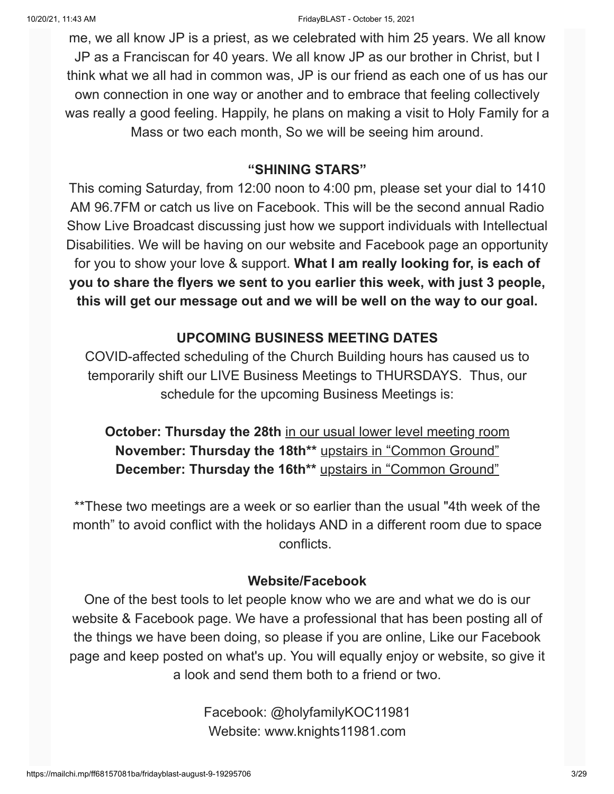me, we all know JP is a priest, as we celebrated with him 25 years. We all know JP as a Franciscan for 40 years. We all know JP as our brother in Christ, but I think what we all had in common was, JP is our friend as each one of us has our own connection in one way or another and to embrace that feeling collectively was really a good feeling. Happily, he plans on making a visit to Holy Family for a Mass or two each month, So we will be seeing him around.

#### **"SHINING STARS"**

This coming Saturday, from 12:00 noon to 4:00 pm, please set your dial to 1410 AM 96.7FM or catch us live on Facebook. This will be the second annual Radio Show Live Broadcast discussing just how we support individuals with Intellectual Disabilities. We will be having on our website and Facebook page an opportunity for you to show your love & support. **What I am really looking for, is each of you to share the flyers we sent to you earlier this week, with just 3 people, this will get our message out and we will be well on the way to our goal.**

#### **UPCOMING BUSINESS MEETING DATES**

COVID-affected scheduling of the Church Building hours has caused us to temporarily shift our LIVE Business Meetings to THURSDAYS. Thus, our schedule for the upcoming Business Meetings is:

**October: Thursday the 28th** in our usual lower level meeting room **November: Thursday the 18th\*\*** upstairs in "Common Ground" **December: Thursday the 16th\*\*** upstairs in "Common Ground"

\*\*These two meetings are a week or so earlier than the usual "4th week of the month" to avoid conflict with the holidays AND in a different room due to space conflicts.

#### **Website/Facebook**

One of the best tools to let people know who we are and what we do is our website & Facebook page. We have a professional that has been posting all of the things we have been doing, so please if you are online, Like our Facebook page and keep posted on what's up. You will equally enjoy or website, so give it a look and send them both to a friend or two.

> Facebook: @holyfamilyKOC11981 Website: www.knights11981.com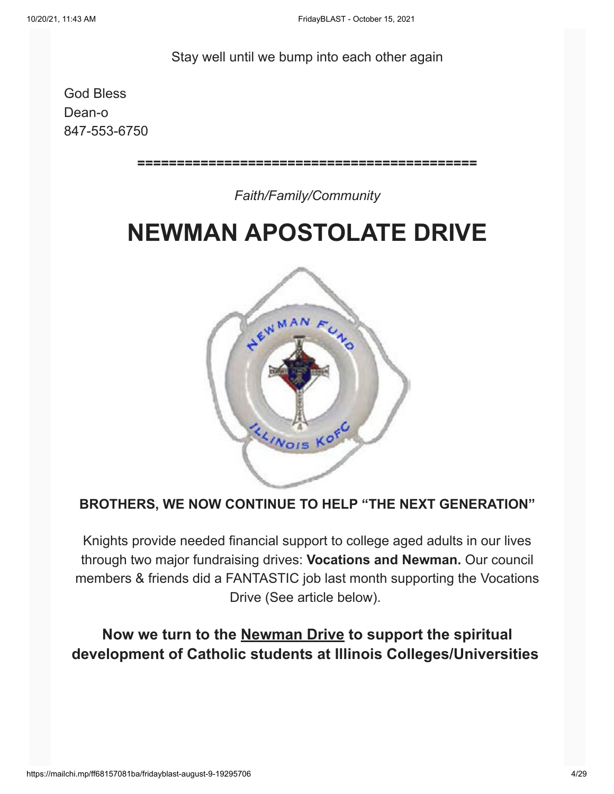#### Stay well until we bump into each other again

God Bless Dean-o 847-553-6750

**===========================================**

#### *Faith/Family/Community*

# **NEWMAN APOSTOLATE DRIVE**



#### **BROTHERS, WE NOW CONTINUE TO HELP "THE NEXT GENERATION"**

Knights provide needed financial support to college aged adults in our lives through two major fundraising drives: **Vocations and Newman.** Our council members & friends did a FANTASTIC job last month supporting the Vocations Drive (See article below).

### **Now we turn to the Newman Drive to support the spiritual development of Catholic students at Illinois Colleges/Universities**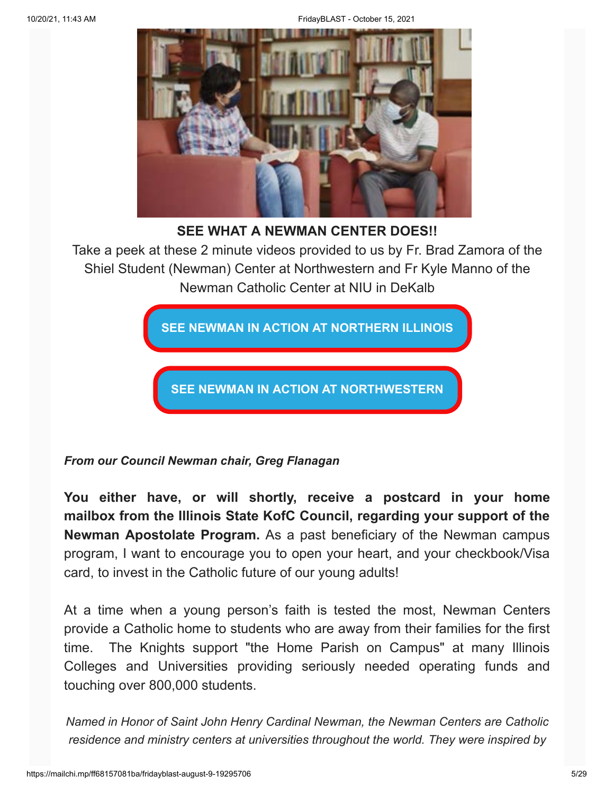

**SEE WHAT A NEWMAN CENTER DOES!!**

Take a peek at these 2 minute videos provided to us by Fr. Brad Zamora of the Shiel Student (Newman) Center at Northwestern and Fr Kyle Manno of the Newman Catholic Center at NIU in DeKalb

**[SEE NEWMAN IN ACTION AT NORTHERN ILLINOIS](https://youtu.be/2NIvuNxBr8Y)**

**[SEE NEWMAN IN ACTION AT NORTHWESTERN](https://youtu.be/DiMK-nSHFi8)**

*From our Council Newman chair, Greg Flanagan*

**You either have, or will shortly, receive a postcard in your home mailbox from the Illinois State KofC Council, regarding your support of the Newman Apostolate Program.** As a past beneficiary of the Newman campus program, I want to encourage you to open your heart, and your checkbook/Visa card, to invest in the Catholic future of our young adults!

At a time when a young person's faith is tested the most, Newman Centers provide a Catholic home to students who are away from their families for the first time. The Knights support "the Home Parish on Campus" at many Illinois Colleges and Universities providing seriously needed operating funds and touching over 800,000 students.

*Named in Honor of Saint John Henry Cardinal Newman, the Newman Centers are Catholic residence and ministry centers at universities throughout the world. They were inspired by*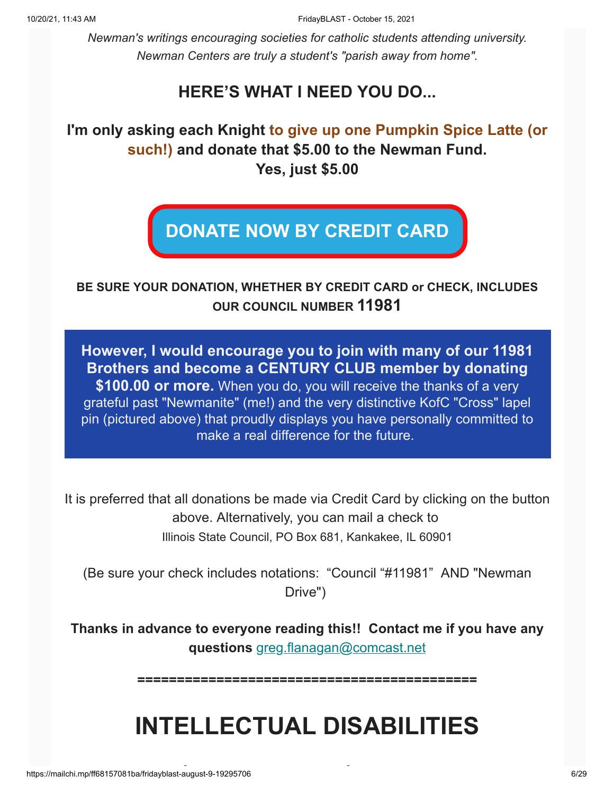*Newman's writings encouraging societies for catholic students attending university. Newman Centers are truly a student's "parish away from home".*

### **HERE'S WHAT I NEED YOU DO...**

### **I'm only asking each Knight to give up one Pumpkin Spice Latte (or such!) and donate that \$5.00 to the Newman Fund. Yes, just \$5.00**

# **[DONATE NOW BY CREDIT CARD](https://4agc.com/donation_pages/76bbbade-c473-47f8-b41f-82dedfce4b31)**

#### **BE SURE YOUR DONATION, WHETHER BY CREDIT CARD or CHECK, INCLUDES OUR COUNCIL NUMBER 11981**

**However, I would encourage you to join with many of our 11981 Brothers and become a CENTURY CLUB member by donating**

**\$100.00 or more.** When you do, you will receive the thanks of a very grateful past "Newmanite" (me!) and the very distinctive KofC "Cross" lapel pin (pictured above) that proudly displays you have personally committed to make a real difference for the future.

It is preferred that all donations be made via Credit Card by clicking on the button above. Alternatively, you can mail a check to Illinois State Council, PO Box 681, Kankakee, IL 60901

(Be sure your check includes notations: "Council "#11981" AND "Newman Drive")

**Thanks in advance to everyone reading this!! Contact me if you have any questions** [greg.flanagan@comcast.net](mailto:greg.flanagan@comcast.net)

**===========================================**

# **INTELLECTUAL DISABILITIES**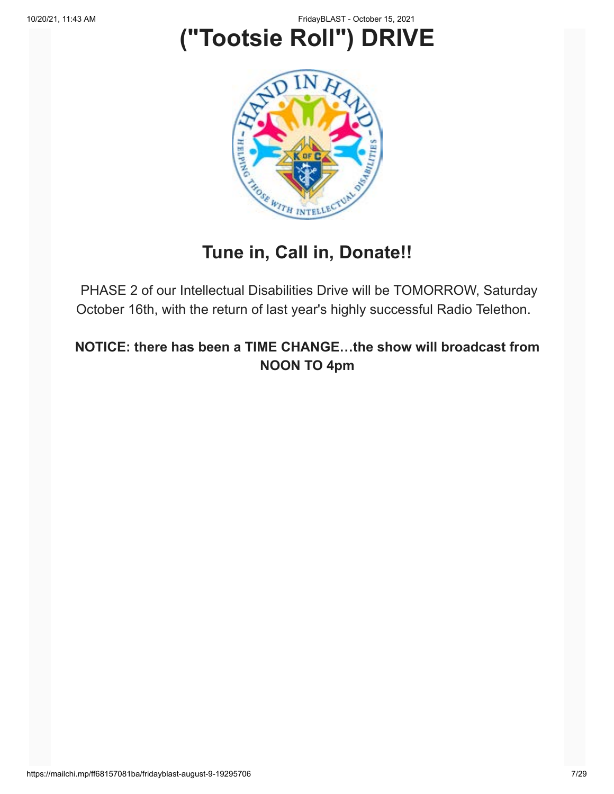# **("Tootsie Roll") DRIVE**



## **Tune in, Call in, Donate!!**

PHASE 2 of our Intellectual Disabilities Drive will be TOMORROW, Saturday October 16th, with the return of last year's highly successful Radio Telethon.

**NOTICE: there has been a TIME CHANGE…the show will broadcast from NOON TO 4pm**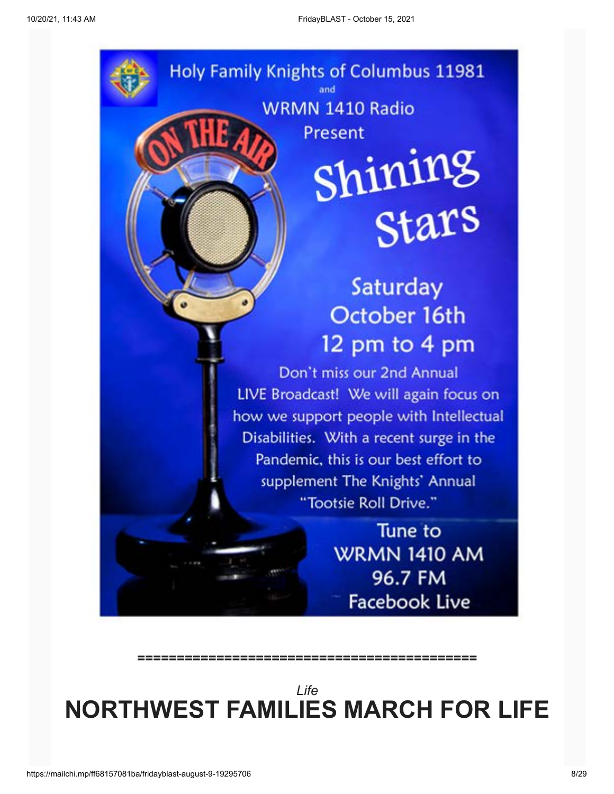

*Life* **NORTHWEST FAMILIES MARCH FOR LIFE**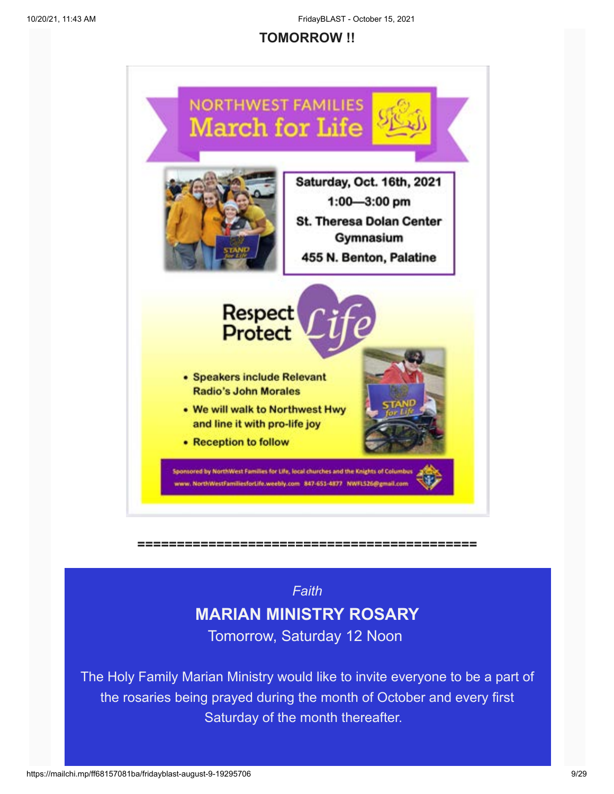#### **TOMORROW !!**



**===========================================**

### *Faith* **MARIAN MINISTRY ROSARY** Tomorrow, Saturday 12 Noon

The Holy Family Marian Ministry would like to invite everyone to be a part of the rosaries being prayed during the month of October and every first Saturday of the month thereafter.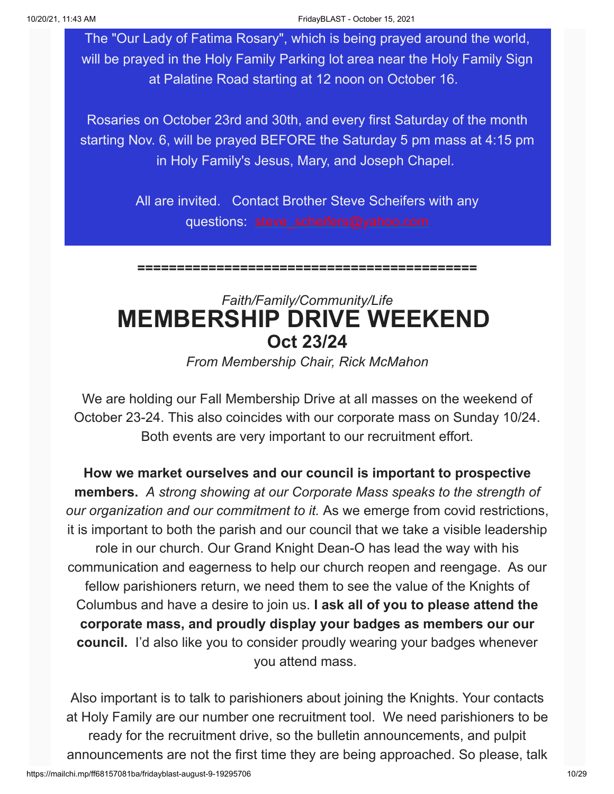The "Our Lady of Fatima Rosary", which is being prayed around the world, will be prayed in the Holy Family Parking lot area near the Holy Family Sign at Palatine Road starting at 12 noon on October 16.

Rosaries on October 23rd and 30th, and every first Saturday of the month starting Nov. 6, will be prayed BEFORE the Saturday 5 pm mass at 4:15 pm in Holy Family's Jesus, Mary, and Joseph Chapel.

> All are invited. Contact Brother Steve Scheifers with any questions: [steve\\_scheifers@yahoo.com](mailto:steve_scheifers@yahoo.com)

> **===========================================**

## *Faith/Family/Community/Life* **MEMBERSHIP DRIVE WEEKEND Oct 23/24**

*From Membership Chair, Rick McMahon*

We are holding our Fall Membership Drive at all masses on the weekend of October 23-24. This also coincides with our corporate mass on Sunday 10/24. Both events are very important to our recruitment effort.

**How we market ourselves and our council is important to prospective members.** *A strong showing at our Corporate Mass speaks to the strength of our organization and our commitment to it.* As we emerge from covid restrictions, it is important to both the parish and our council that we take a visible leadership role in our church. Our Grand Knight Dean-O has lead the way with his communication and eagerness to help our church reopen and reengage. As our fellow parishioners return, we need them to see the value of the Knights of Columbus and have a desire to join us. **I ask all of you to please attend the corporate mass, and proudly display your badges as members our our council.** I'd also like you to consider proudly wearing your badges whenever you attend mass.

Also important is to talk to parishioners about joining the Knights. Your contacts at Holy Family are our number one recruitment tool. We need parishioners to be ready for the recruitment drive, so the bulletin announcements, and pulpit announcements are not the first time they are being approached. So please, talk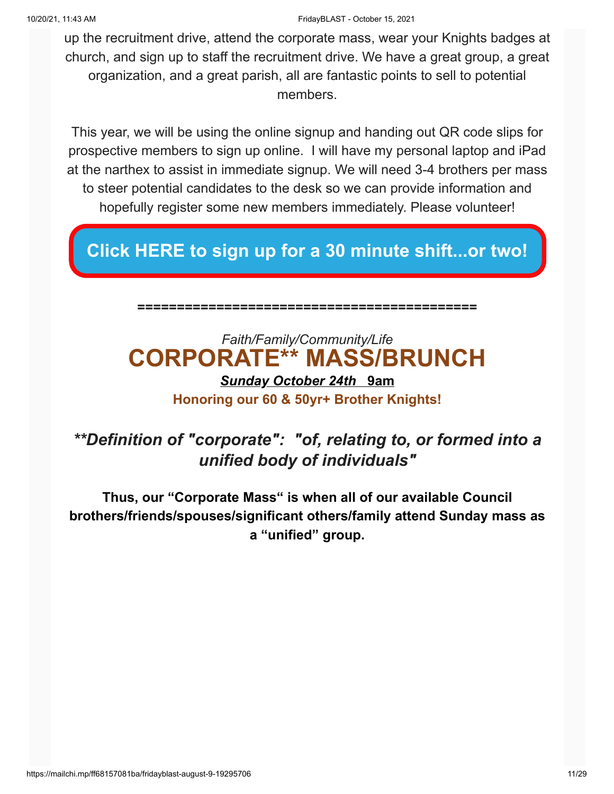up the recruitment drive, attend the corporate mass, wear your Knights badges at church, and sign up to staff the recruitment drive. We have a great group, a great organization, and a great parish, all are fantastic points to sell to potential members.

This year, we will be using the online signup and handing out QR code slips for prospective members to sign up online. I will have my personal laptop and iPad at the narthex to assist in immediate signup. We will need 3-4 brothers per mass to steer potential candidates to the desk so we can provide information and hopefully register some new members immediately. Please volunteer!

### **[Click HERE to sign up for a 30 minute shift...or two!](https://www.signupgenius.com/go/10C0449A5A62DA5F58-ourfall)**

**===========================================**

## *Faith/Family/Community/Life* **CORPORATE\*\* MASS/BRUNCH**

### *Sunday October 24th* **9am Honoring our 60 & 50yr+ Brother Knights!**

### *\*\*Definition of "corporate": "of, relating to, or formed into a unified body of individuals"*

**Thus, our "Corporate Mass" is when all of our available Council brothers/friends/spouses/significant others/family attend Sunday mass as a "unified" group.**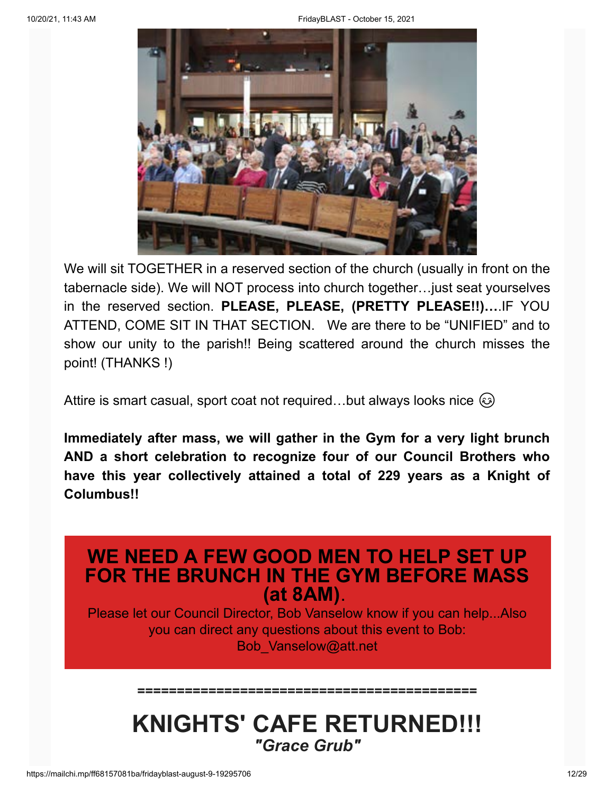

We will sit TOGETHER in a reserved section of the church (usually in front on the tabernacle side). We will NOT process into church together…just seat yourselves in the reserved section. **PLEASE, PLEASE, (PRETTY PLEASE!!)…**.IF YOU ATTEND, COME SIT IN THAT SECTION. We are there to be "UNIFIED" and to show our unity to the parish!! Being scattered around the church misses the point! (THANKS !)

Attire is smart casual, sport coat not required...but always looks nice  $\circled{e}$ 

**Immediately after mass, we will gather in the Gym for a very light brunch AND a short celebration to recognize four of our Council Brothers who have this year collectively attained a total of 229 years as a Knight of Columbus!!**

### **WE NEED A FEW GOOD MEN TO HELP SET UP FOR THE BRUNCH IN THE GYM BEFORE MASS (at 8AM)**.

Please let our Council Director, Bob Vanselow know if you can help...Also you can direct any questions about this event to Bob: Bob\_Vanselow@att.net

## **KNIGHTS' CAFE RETURNED!!!** *"Grace Grub"*

**===========================================**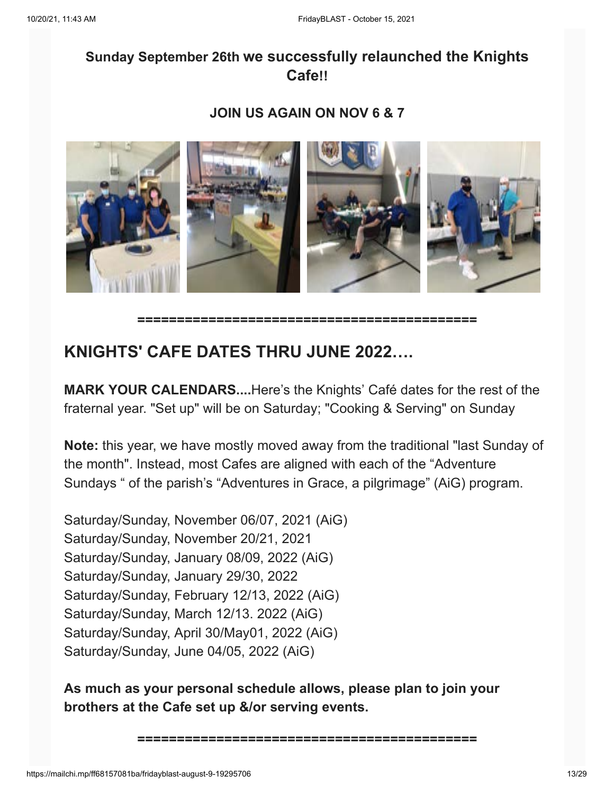### **Sunday September 26th we successfully relaunched the Knights Cafe!!**

#### **JOIN US AGAIN ON NOV 6 & 7**



**===========================================**

### **KNIGHTS' CAFE DATES THRU JUNE 2022….**

**MARK YOUR CALENDARS....**Here's the Knights' Café dates for the rest of the fraternal year. "Set up" will be on Saturday; "Cooking & Serving" on Sunday

**Note:** this year, we have mostly moved away from the traditional "last Sunday of the month". Instead, most Cafes are aligned with each of the "Adventure Sundays " of the parish's "Adventures in Grace, a pilgrimage" (AiG) program.

Saturday/Sunday, November 06/07, 2021 (AiG) Saturday/Sunday, November 20/21, 2021 Saturday/Sunday, January 08/09, 2022 (AiG) Saturday/Sunday, January 29/30, 2022 Saturday/Sunday, February 12/13, 2022 (AiG) Saturday/Sunday, March 12/13. 2022 (AiG) Saturday/Sunday, April 30/May01, 2022 (AiG) Saturday/Sunday, June 04/05, 2022 (AiG)

**As much as your personal schedule allows, please plan to join your brothers at the Cafe set up &/or serving events.**

```
===========================================
```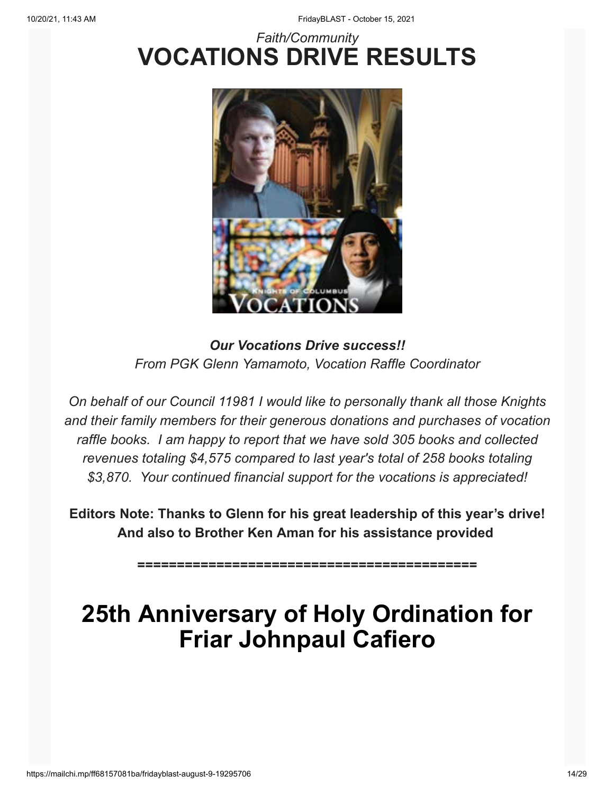## *Faith/Community* **VOCATIONS DRIVE RESULTS**



*Our Vocations Drive success!! From PGK Glenn Yamamoto, Vocation Raffle Coordinator*

*On behalf of our Council 11981 I would like to personally thank all those Knights and their family members for their generous donations and purchases of vocation raffle books. I am happy to report that we have sold 305 books and collected revenues totaling \$4,575 compared to last year's total of 258 books totaling \$3,870. Your continued financial support for the vocations is appreciated!*

**Editors Note: Thanks to Glenn for his great leadership of this year's drive! And also to Brother Ken Aman for his assistance provided**

**===========================================**

# **25th Anniversary of Holy Ordination for Friar Johnpaul Cafiero**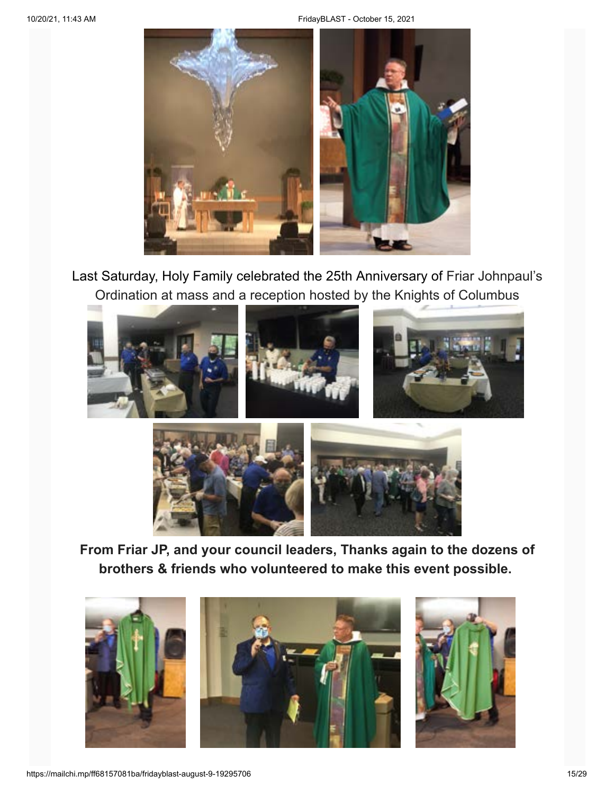

Last Saturday, Holy Family celebrated the 25th Anniversary of Friar Johnpaul's Ordination at mass and a reception hosted by the Knights of Columbus





**From Friar JP, and your council leaders, Thanks again to the dozens of brothers & friends who volunteered to make this event possible.**

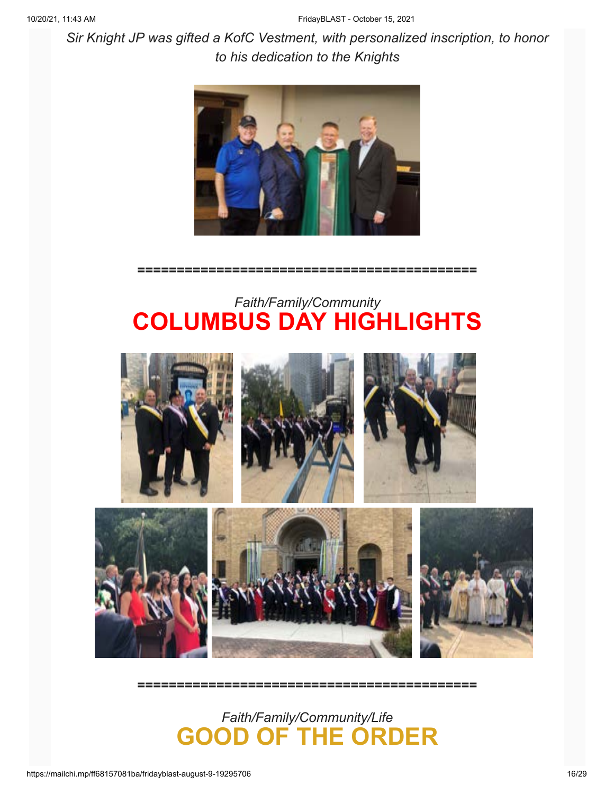*Sir Knight JP was gifted a KofC Vestment, with personalized inscription, to honor to his dedication to the Knights*



**===========================================**

### *Faith/Family/Community* **COLUMBUS DAY HIGHLIGHTS**



**===========================================**

*Faith/Family/Community/Life* **GOOD OF THE ORDER**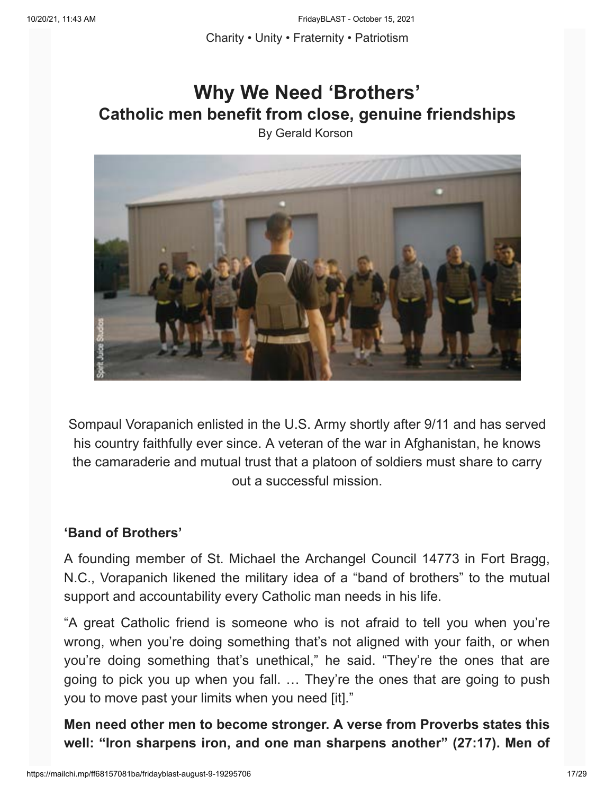Charity • Unity • Fraternity • Patriotism

# **Why We Need 'Brothers' Catholic men benefit from close, genuine friendships**

By Gerald Korson



Sompaul Vorapanich enlisted in the U.S. Army shortly after 9/11 and has served his country faithfully ever since. A veteran of the war in Afghanistan, he knows the camaraderie and mutual trust that a platoon of soldiers must share to carry out a successful mission.

#### **'Band of Brothers'**

A founding member of St. Michael the Archangel Council 14773 in Fort Bragg, N.C., Vorapanich likened the military idea of a "band of brothers" to the mutual support and accountability every Catholic man needs in his life.

"A great Catholic friend is someone who is not afraid to tell you when you're wrong, when you're doing something that's not aligned with your faith, or when you're doing something that's unethical," he said. "They're the ones that are going to pick you up when you fall. … They're the ones that are going to push you to move past your limits when you need [it]."

**Men need other men to become stronger. A verse from Proverbs states this well: "Iron sharpens iron, and one man sharpens another" (27:17). Men of**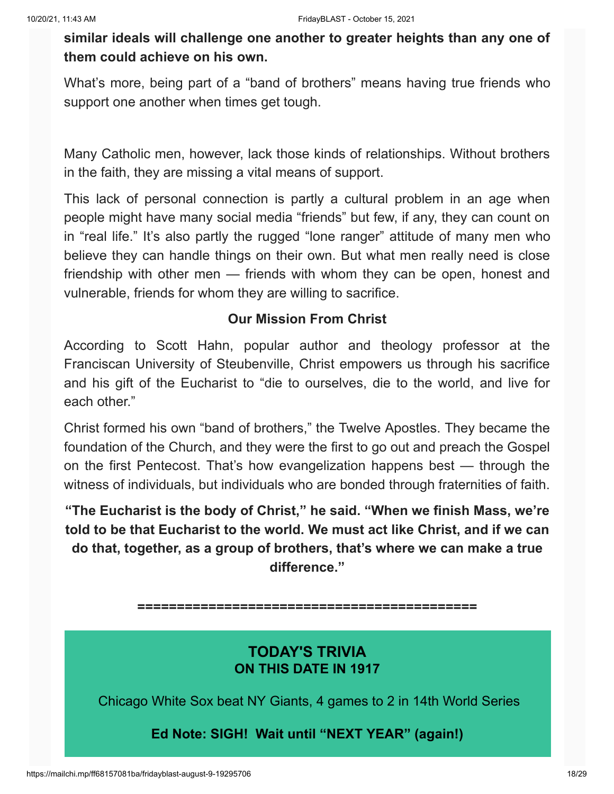**similar ideals will challenge one another to greater heights than any one of them could achieve on his own.**

What's more, being part of a "band of brothers" means having true friends who support one another when times get tough.

Many Catholic men, however, lack those kinds of relationships. Without brothers in the faith, they are missing a vital means of support.

This lack of personal connection is partly a cultural problem in an age when people might have many social media "friends" but few, if any, they can count on in "real life." It's also partly the rugged "lone ranger" attitude of many men who believe they can handle things on their own. But what men really need is close friendship with other men — friends with whom they can be open, honest and vulnerable, friends for whom they are willing to sacrifice.

#### **Our Mission From Christ**

According to Scott Hahn, popular author and theology professor at the Franciscan University of Steubenville, Christ empowers us through his sacrifice and his gift of the Eucharist to "die to ourselves, die to the world, and live for each other."

Christ formed his own "band of brothers," the Twelve Apostles. They became the foundation of the Church, and they were the first to go out and preach the Gospel on the first Pentecost. That's how evangelization happens best — through the witness of individuals, but individuals who are bonded through fraternities of faith.

**"The Eucharist is the body of Christ," he said. "When we finish Mass, we're told to be that Eucharist to the world. We must act like Christ, and if we can do that, together, as a group of brothers, that's where we can make a true difference."**

**===========================================**

### **TODAY'S TRIVIA ON THIS DATE IN 1917**

Chicago White Sox beat NY Giants, 4 games to 2 in 14th World Series

#### **Ed Note: SIGH! Wait until "NEXT YEAR" (again!)**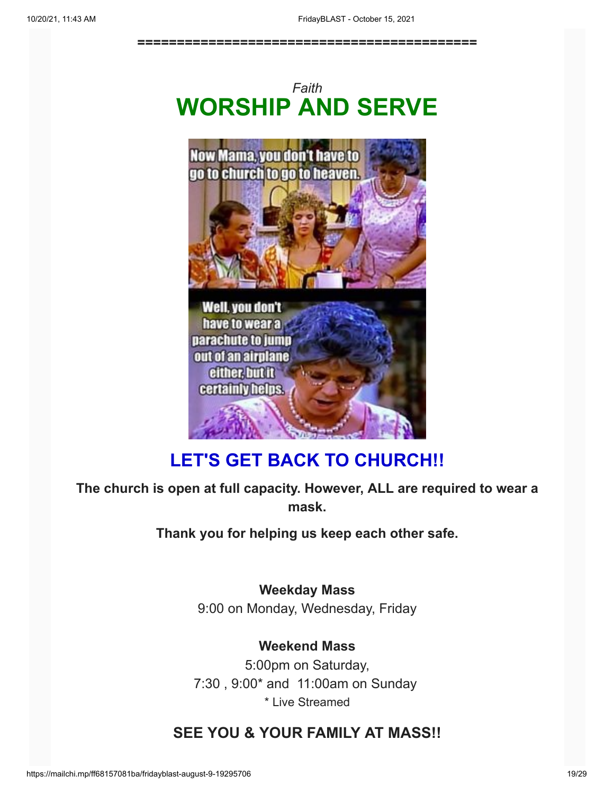**===========================================**





### **LET'S GET BACK TO CHURCH!!**

**The church is open at full capacity. However, ALL are required to wear a mask.**

**Thank you for helping us keep each other safe.**

**Weekday Mass** 9:00 on Monday, Wednesday, Friday

**Weekend Mass** 5:00pm on Saturday, 7:30 , 9:00\* and 11:00am on Sunday \* Live Streamed

### **SEE YOU & YOUR FAMILY AT MASS!!**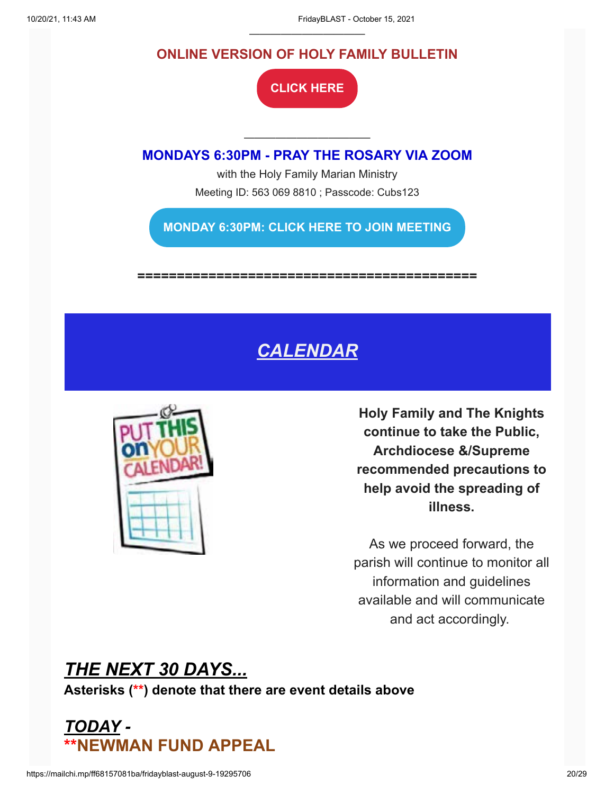#### **ONLINE VERSION OF HOLY FAMILY BULLETIN**

———————————

**[CLICK HERE](https://holyfamilyparish.org/category/bulletins/)**

———————————— **MONDAYS 6:30PM - PRAY THE ROSARY VIA ZOOM**

> with the Holy Family Marian Ministry Meeting ID: 563 069 8810 ; Passcode: Cubs123

**[MONDAY 6:30PM: CLICK HERE TO JOIN MEETING](https://us04web.zoom.us/j/5630698810?pwd=L2NWWXNVNDNzODB2WWt4RXEwMEpnZz09)**

**===========================================**

# *CALENDAR*



**Holy Family and The Knights continue to take the Public, Archdiocese &/Supreme recommended precautions to help avoid the spreading of illness.**

As we proceed forward, the parish will continue to monitor all information and guidelines available and will communicate and act accordingly.

*THE NEXT 30 DAYS...* **Asterisks (\*\*) denote that there are event details above**

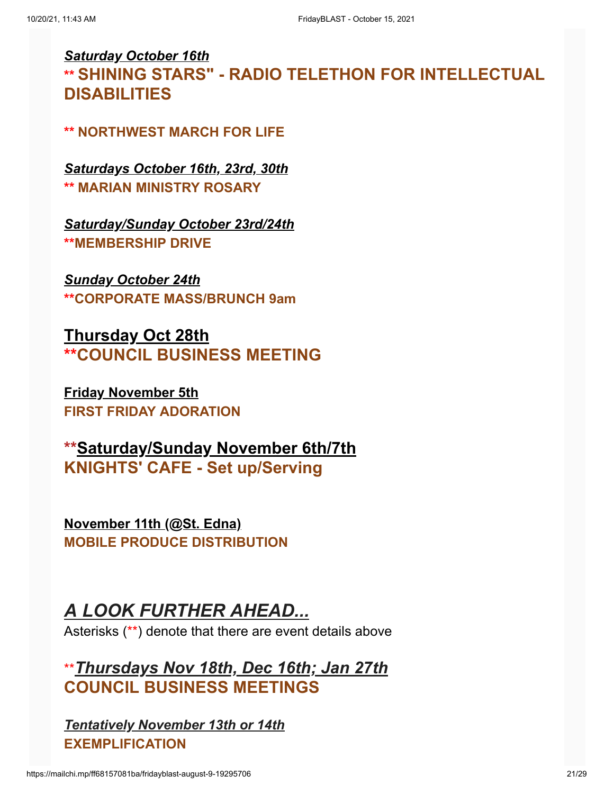### *Saturday October 16th* **\*\* SHINING STARS" - RADIO TELETHON FOR INTELLECTUAL DISABILITIES**

#### **\*\* NORTHWEST MARCH FOR LIFE**

*Saturdays October 16th, 23rd, 30th* **\*\* MARIAN MINISTRY ROSARY**

*Saturday/Sunday October 23rd/24th* **\*\*MEMBERSHIP DRIVE**

*Sunday October 24th* **\*\*CORPORATE MASS/BRUNCH 9am**

**Thursday Oct 28th \*\*COUNCIL BUSINESS MEETING**

**Friday November 5th FIRST FRIDAY ADORATION**

**\*\*Saturday/Sunday November 6th/7th KNIGHTS' CAFE - Set up/Serving**

**November 11th (@St. Edna) MOBILE PRODUCE DISTRIBUTION**

### *A LOOK FURTHER AHEAD...*

Asterisks (\*\*) denote that there are event details above

\*\**Thursdays Nov 18th, Dec 16th; Jan 27th* **COUNCIL BUSINESS MEETINGS**

*Tentatively November 13th or 14th* **EXEMPLIFICATION**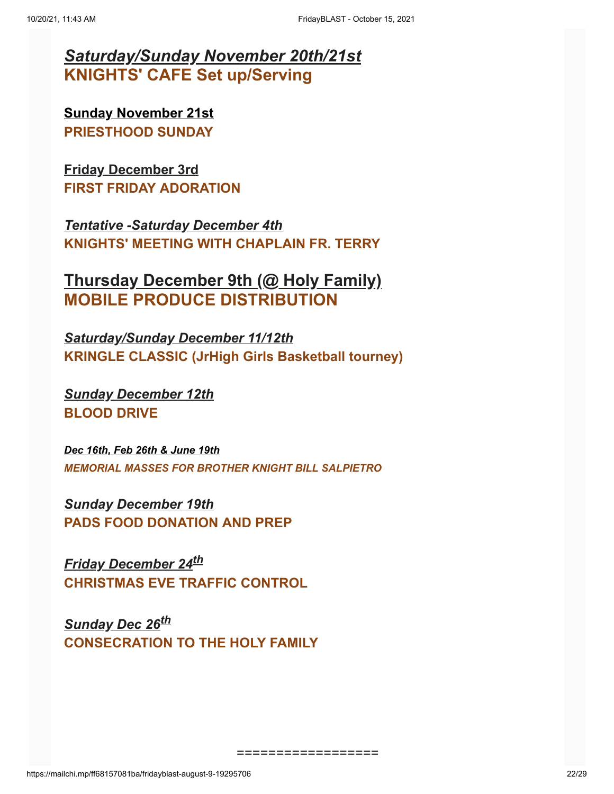### *Saturday/Sunday November 20th/21st* **KNIGHTS' CAFE Set up/Serving**

**Sunday November 21st PRIESTHOOD SUNDAY**

**Friday December 3rd FIRST FRIDAY ADORATION**

*Tentative -Saturday December 4th* **KNIGHTS' MEETING WITH CHAPLAIN FR. TERRY**

**Thursday December 9th (@ Holy Family) MOBILE PRODUCE DISTRIBUTION**

*Saturday/Sunday December 11/12th* **KRINGLE CLASSIC (JrHigh Girls Basketball tourney)**

*Sunday December 12th* **BLOOD DRIVE**

*Dec 16th, Feb 26th & June 19th MEMORIAL MASSES FOR BROTHER KNIGHT BILL SALPIETRO*

*Sunday December 19th* **PADS FOOD DONATION AND PREP**

*Friday December 24th* **CHRISTMAS EVE TRAFFIC CONTROL**

*Sunday Dec 26th* **CONSECRATION TO THE HOLY FAMILY**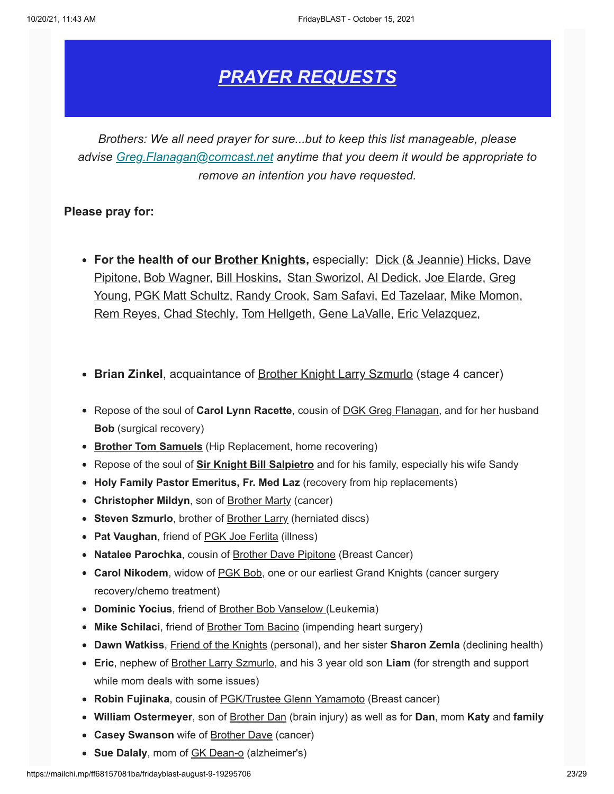### *PRAYER REQUESTS*

*Brothers: We all need prayer for sure...but to keep this list manageable, please advise [Greg.Flanagan@comcast.net](mailto:Greg.Flanagan@comcast.net) anytime that you deem it would be appropriate to remove an intention you have requested.*

#### **Please pray for:**

- **For the health of our Brother Knights,** especially: Dick (& Jeannie) Hicks, Dave Pipitone, Bob Wagner, Bill Hoskins**,** Stan Sworizol, Al Dedick, Joe Elarde, Greg Young, PGK Matt Schultz, Randy Crook, Sam Safavi, Ed Tazelaar, Mike Momon, Rem Reyes, Chad Stechly, Tom Hellgeth, Gene LaValle, Eric Velazquez,
- **Brian Zinkel**, acquaintance of Brother Knight Larry Szmurlo (stage 4 cancer)
- Repose of the soul of **Carol Lynn Racette**, cousin of **DGK Greg Flanagan**, and for her husband **Bob** (surgical recovery)
- **Brother Tom Samuels** (Hip Replacement, home recovering)
- Repose of the soul of **Sir Knight Bill Salpietro** and for his family, especially his wife Sandy
- **Holy Family Pastor Emeritus, Fr. Med Laz** (recovery from hip replacements)
- **Christopher Mildyn**, son of Brother Marty (cancer)
- **Steven Szmurlo**, brother of **Brother Larry (herniated discs)**
- **Pat Vaughan**, friend of PGK Joe Ferlita (illness)
- **Natalee Parochka**, cousin of Brother Dave Pipitone (Breast Cancer)
- **Carol Nikodem**, widow of PGK Bob, one or our earliest Grand Knights (cancer surgery recovery/chemo treatment)
- **Dominic Yocius**, friend of Brother Bob Vanselow (Leukemia)
- **Mike Schilaci**, friend of Brother Tom Bacino (impending heart surgery)
- **Dawn Watkiss**, Friend of the Knights (personal), and her sister **Sharon Zemla** (declining health)
- **Eric**, nephew of Brother Larry Szmurlo, and his 3 year old son **Liam** (for strength and support while mom deals with some issues)
- **Robin Fujinaka**, cousin of PGK/Trustee Glenn Yamamoto (Breast cancer)
- **William Ostermeyer**, son of Brother Dan (brain injury) as well as for **Dan**, mom **Katy** and **family**
- **Casey Swanson** wife of Brother Dave (cancer)
- **Sue Dalaly**, mom of GK Dean-o (alzheimer's)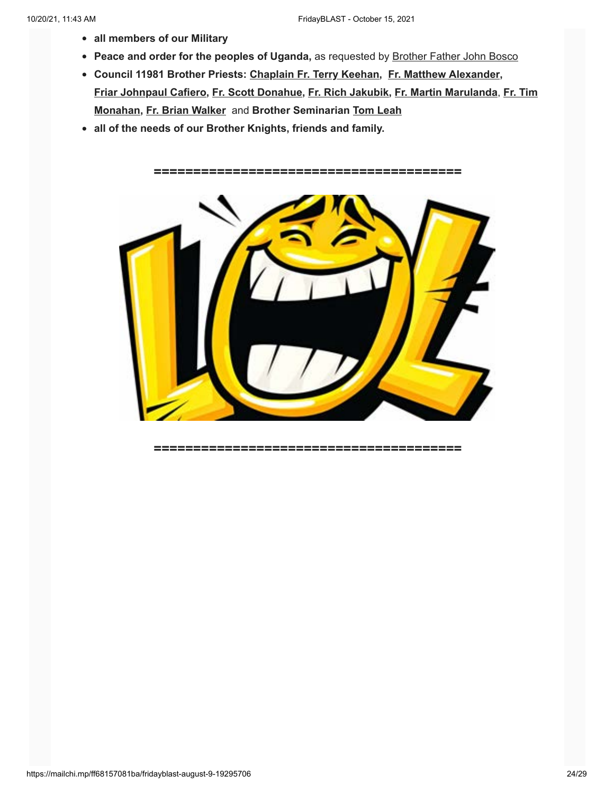- **all members of our Military**
- **Peace and order for the peoples of Uganda,** as requested by Brother Father John Bosco
- **Council 11981 Brother Priests: Chaplain Fr. Terry Keehan, Fr. Matthew Alexander, Friar Johnpaul Cafiero, Fr. Scott Donahue, Fr. Rich Jakubik, Fr. Martin Marulanda**, **Fr. Tim Monahan, Fr. Brian Walker** and **Brother Seminarian Tom Leah**
- **all of the needs of our Brother Knights, friends and family.**

*=======================================*



*=======================================*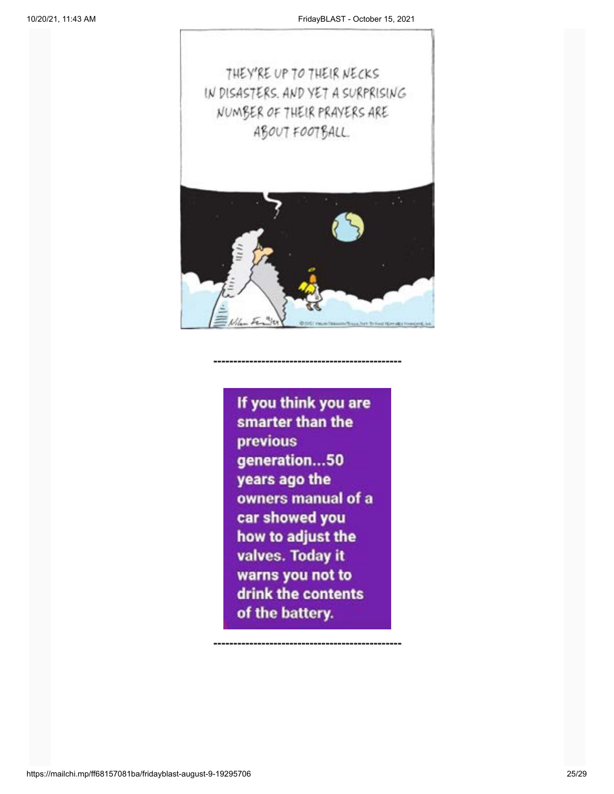

If you think you are smarter than the previous generation...50 years ago the owners manual of a car showed you how to adjust the valves. Today it warns you not to drink the contents of the battery.

**-----------------------------------------------**

**-----------------------------------------------**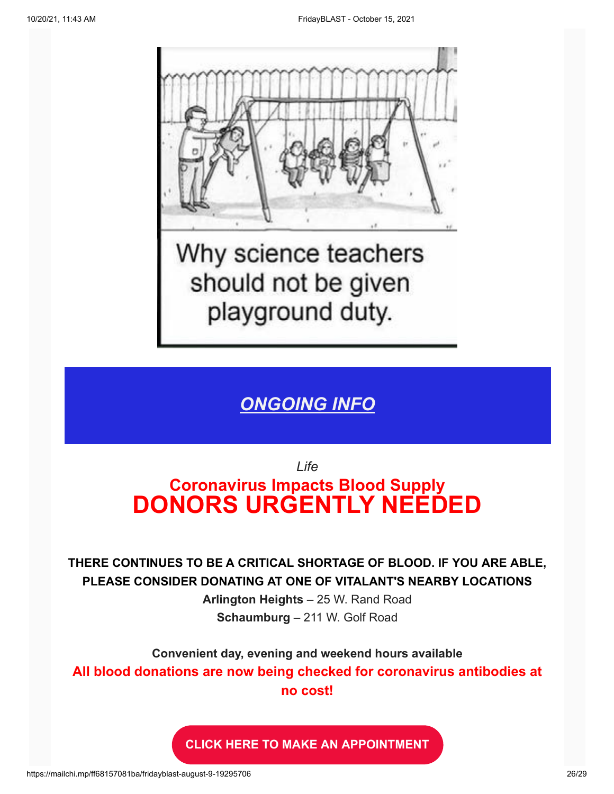

Why science teachers should not be given playground duty.

### *ONGOING INFO*

*Life*

# **Coronavirus Impacts Blood Supply DONORS URGENTLY NEEDED**

**THERE CONTINUES TO BE A CRITICAL SHORTAGE OF BLOOD. IF YOU ARE ABLE, PLEASE CONSIDER DONATING AT ONE OF VITALANT'S NEARBY LOCATIONS**

> **Arlington Heights** – [25 W. Rand Road](x-apple-data-detectors://2) **Schaumburg** – [211 W. Golf Road](x-apple-data-detectors://13)

**Convenient day, evening and weekend hours available All blood donations are now being checked for coronavirus antibodies at no cost!**

**[CLICK HERE TO MAKE AN APPOINTMENT](https://donateblood.lifesource.org/AppointmentScheduling.aspx)**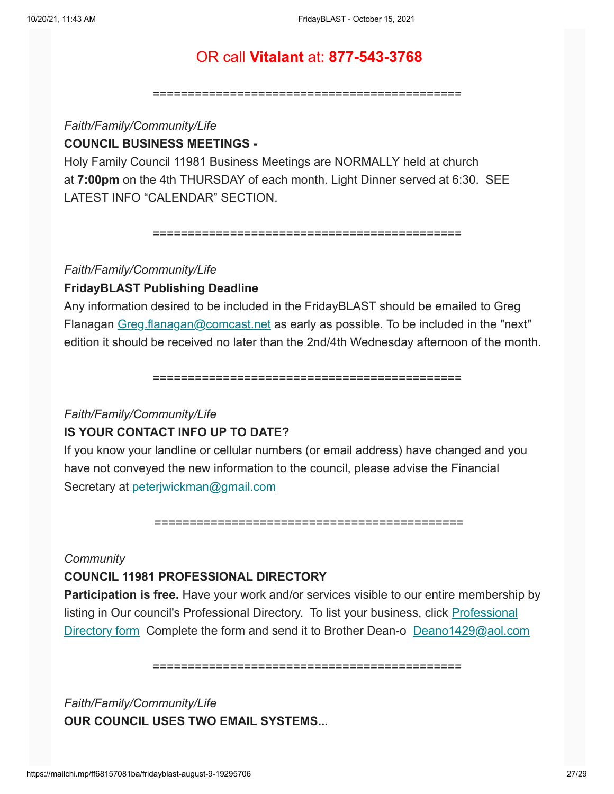#### OR call **Vitalant** at: **877-543-3768**

============================================

#### *Faith/Family/Community/Life* **COUNCIL BUSINESS MEETINGS -**

Holy Family Council 11981 Business Meetings are NORMALLY held at church at **7:00pm** on the 4th THURSDAY of each month. Light Dinner served at 6:30. SEE LATEST INFO "CALENDAR" SECTION.

============================================

#### *Faith/Family/Community/Life*

#### **FridayBLAST Publishing Deadline**

Any information desired to be included in the FridayBLAST should be emailed to Greg Flanagan [Greg.flanagan@comcast.net](mailto:Greg.flanagan@comcast.net) as early as possible. To be included in the "next" edition it should be received no later than the 2nd/4th Wednesday afternoon of the month.

============================================

#### *Faith/Family/Community/Life*

#### **IS YOUR CONTACT INFO UP TO DATE?**

If you know your landline or cellular numbers (or email address) have changed and you have not conveyed the new information to the council, please advise the Financial Secretary at [peterjwickman@gmail.com](mailto:peterjwickman@gmail.com)

============================================

#### *Community*

#### **COUNCIL 11981 PROFESSIONAL DIRECTORY**

**Participation is free.** Have your work and/or services visible to our entire membership by listing in Our council's Professional Directory. To list your business, click Professional [Directory form Complete the form and send it to Brother Dean-o](https://knights11981.us15.list-manage.com/track/click?u=2f128f77850625eb2bc85aa8a&id=b1a818b467&e=3275bc4193) [Deano1429@aol.com](mailto:Deano1429@aol.com)

============================================

*Faith/Family/Community/Life* **OUR COUNCIL USES TWO EMAIL SYSTEMS...**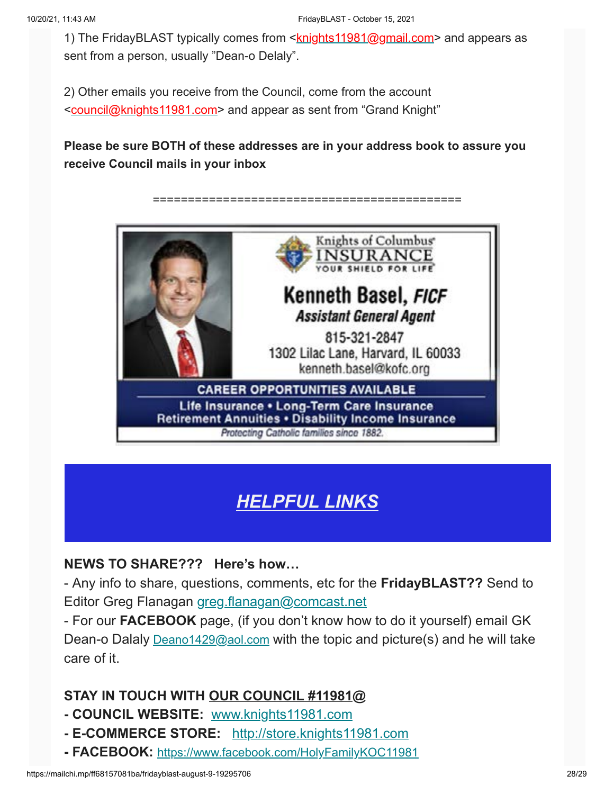1) The FridayBLAST typically comes from <**knights11981@gmail.com**> and appears as sent from a person, usually "Dean-o Delaly".

2) Other emails you receive from the Council, come from the account <[council@knights11981.com>](mailto:council@knights11981.com) and appear as sent from "Grand Knight"

**Please be sure BOTH of these addresses are in your address book to assure you receive Council mails in your inbox**

#### ============================================



## *HELPFUL LINKS*

#### **NEWS TO SHARE??? Here's how…**

- Any info to share, questions, comments, etc for the **FridayBLAST??** Send to Editor Greg Flanagan [greg.flanagan@comcast.net](mailto:greg.flanagan@comcast.net)

- For our **FACEBOOK** page, (if you don't know how to do it yourself) email GK Dean-o Dalaly [Deano1429@aol.com](mailto:Deano1429@aol.com) with the topic and picture(s) and he will take care of it.

#### **STAY IN TOUCH WITH OUR COUNCIL #11981@**

- **COUNCIL WEBSITE:** [www.knights11981.com](https://knights11981.us15.list-manage.com/track/click?u=2f128f77850625eb2bc85aa8a&id=923d85e722&e=3275bc4193)
- **E-COMMERCE STORE:** [http://store.knights11981.com](https://knights11981.us15.list-manage.com/track/click?u=2f128f77850625eb2bc85aa8a&id=71f788f3a5&e=3275bc4193)
- **FACEBOOK:** [https://www.facebook.com/HolyFamilyKOC11981](https://www.facebook.com/HolyFamilyKOC11981/)